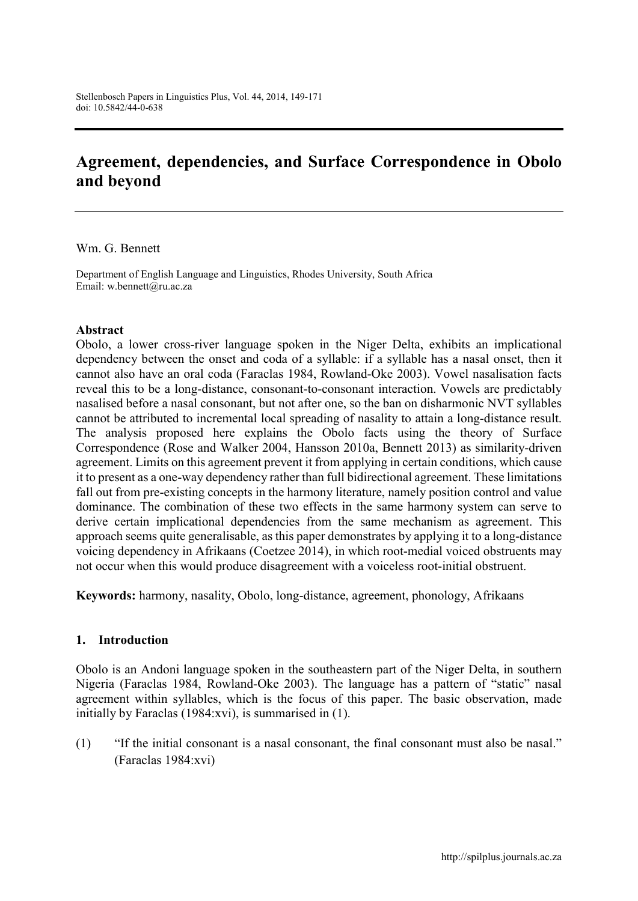# **Agreement, dependencies, and Surface Correspondence in Obolo and beyond**

#### Wm. G. Bennett

Department of English Language and Linguistics, Rhodes University, South Africa Email: [w.bennett@ru.ac.za](mailto:w.bennett@ru.ac.za)

#### **Abstract**

Obolo, a lower cross-river language spoken in the Niger Delta, exhibits an implicational dependency between the onset and coda of a syllable: if a syllable has a nasal onset, then it cannot also have an oral coda (Faraclas 1984, Rowland-Oke 2003). Vowel nasalisation facts reveal this to be a long-distance, consonant-to-consonant interaction. Vowels are predictably nasalised before a nasal consonant, but not after one, so the ban on disharmonic NVT syllables cannot be attributed to incremental local spreading of nasality to attain a long-distance result. The analysis proposed here explains the Obolo facts using the theory of Surface Correspondence (Rose and Walker 2004, Hansson 2010a, Bennett 2013) as similarity-driven agreement. Limits on this agreement prevent it from applying in certain conditions, which cause it to present as a one-way dependency rather than full bidirectional agreement. These limitations fall out from pre-existing concepts in the harmony literature, namely position control and value dominance. The combination of these two effects in the same harmony system can serve to derive certain implicational dependencies from the same mechanism as agreement. This approach seems quite generalisable, as this paper demonstrates by applying it to a long-distance voicing dependency in Afrikaans (Coetzee 2014), in which root-medial voiced obstruents may not occur when this would produce disagreement with a voiceless root-initial obstruent.

**Keywords:** harmony, nasality, Obolo, long-distance, agreement, phonology, Afrikaans

#### **1. Introduction**

Obolo is an Andoni language spoken in the southeastern part of the Niger Delta, in southern Nigeria (Faraclas 1984, Rowland-Oke 2003). The language has a pattern of "static" nasal agreement within syllables, which is the focus of this paper. The basic observation, made initially by Faraclas (1984:xvi), is summarised in (1).

(1) "If the initial consonant is a nasal consonant, the final consonant must also be nasal." (Faraclas 1984:xvi)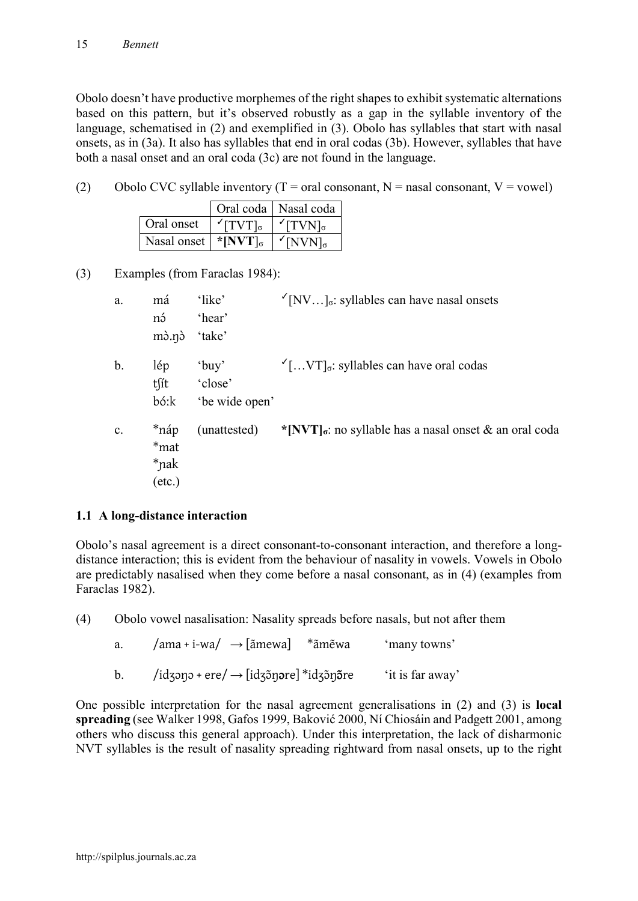Obolo doesn't have productive morphemes of the right shapes to exhibit systematic alternations based on this pattern, but it's observed robustly as a gap in the syllable inventory of the language, schematised in (2) and exemplified in (3). Obolo has syllables that start with nasal onsets, as in (3a). It also has syllables that end in oral codas (3b). However, syllables that have both a nasal onset and an oral coda (3c) are not found in the language.

(2) Obolo CVC syllable inventory ( $T = \text{oral consonant}$ ,  $N = \text{nasal consonant}$ ,  $V = \text{vowel}$ )

|             |                                          | Oral coda   Nasal coda             |
|-------------|------------------------------------------|------------------------------------|
| Oral onset  | $TVT]_{\sigma}$                          | $\mathcal{F}[\text{TVN}]_{\sigma}$ |
| Nasal onset | $*$ [NVT] <sub><math>\sigma</math></sub> | $\sqrt{\text{NVN}}_{\sigma}$       |

(3) Examples (from Faraclas 1984):

| a.            | má                                      | 'like'                                | $\sqrt{\text{N}V}$ ] <sub><math>\sigma</math></sub> : syllables can have nasal onsets |
|---------------|-----------------------------------------|---------------------------------------|---------------------------------------------------------------------------------------|
|               | nó<br>$m\delta.n\delta$                 | 'hear'<br>'take'                      |                                                                                       |
| $\mathbf b$ . | lép<br>tſít<br>bó:k                     | $'$ buy'<br>'close'<br>'be wide open' | $\Gamma$ [VT] <sub><math>\sigma</math></sub> : syllables can have oral codas          |
| c.            | *náp<br>*mat<br>*nak<br>$(\text{etc.})$ | (unattested)                          | *[NVT] $\sigma$ : no syllable has a nasal onset & an oral coda                        |

## **1.1 A long-distance interaction**

Obolo's nasal agreement is a direct consonant-to-consonant interaction, and therefore a longdistance interaction; this is evident from the behaviour of nasality in vowels. Vowels in Obolo are predictably nasalised when they come before a nasal consonant, as in (4) (examples from Faraclas 1982).

(4) Obolo vowel nasalisation: Nasality spreads before nasals, but not after them

| a. | $\gamma$ ama + i-wa $\gamma \rightarrow$ [ãmewa] * ãmẽwa | 'many towns'     |
|----|----------------------------------------------------------|------------------|
| b. | /idzənə + ere/ $\rightarrow$ [idzə̃nəre] *idzə̃nə̃re     | 'it is far away' |

One possible interpretation for the nasal agreement generalisations in (2) and (3) is **local spreading** (see Walker 1998, Gafos 1999, Baković 2000, Ní Chiosáin and Padgett 2001, among others who discuss this general approach). Under this interpretation, the lack of disharmonic NVT syllables is the result of nasality spreading rightward from nasal onsets, up to the right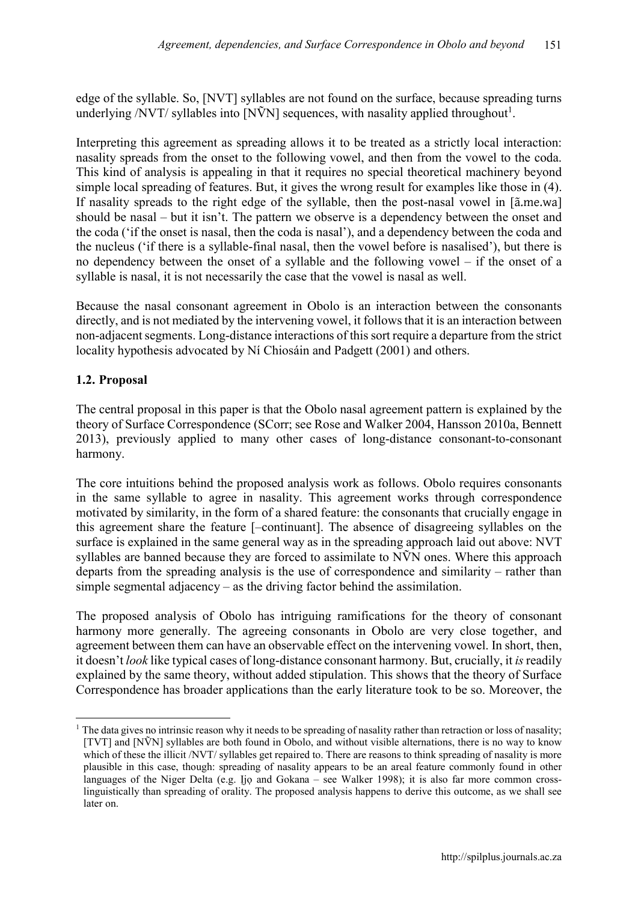edge of the syllable. So, [NVT] syllables are not found on the surface, because spreading turns underlying /NVT/ syllables into [N $\tilde{V}N$ ] sequences, with nasality applied throughout<sup>1</sup>.

Interpreting this agreement as spreading allows it to be treated as a strictly local interaction: nasality spreads from the onset to the following vowel, and then from the vowel to the coda. This kind of analysis is appealing in that it requires no special theoretical machinery beyond simple local spreading of features. But, it gives the wrong result for examples like those in (4). If nasality spreads to the right edge of the syllable, then the post-nasal vowel in [ã.me.wa] should be nasal – but it isn't. The pattern we observe is a dependency between the onset and the coda ('if the onset is nasal, then the coda is nasal'), and a dependency between the coda and the nucleus ('if there is a syllable-final nasal, then the vowel before is nasalised'), but there is no dependency between the onset of a syllable and the following vowel – if the onset of a syllable is nasal, it is not necessarily the case that the vowel is nasal as well.

Because the nasal consonant agreement in Obolo is an interaction between the consonants directly, and is not mediated by the intervening vowel, it follows that it is an interaction between non-adjacent segments. Long-distance interactions of this sort require a departure from the strict locality hypothesis advocated by Ní Chiosáin and Padgett (2001) and others.

## **1.2. Proposal**

 $\overline{a}$ 

The central proposal in this paper is that the Obolo nasal agreement pattern is explained by the theory of Surface Correspondence (SCorr; see Rose and Walker 2004, Hansson 2010a, Bennett 2013), previously applied to many other cases of long-distance consonant-to-consonant harmony.

The core intuitions behind the proposed analysis work as follows. Obolo requires consonants in the same syllable to agree in nasality. This agreement works through correspondence motivated by similarity, in the form of a shared feature: the consonants that crucially engage in this agreement share the feature [–continuant]. The absence of disagreeing syllables on the surface is explained in the same general way as in the spreading approach laid out above: NVT syllables are banned because they are forced to assimilate to NVN ones. Where this approach departs from the spreading analysis is the use of correspondence and similarity – rather than simple segmental adjacency – as the driving factor behind the assimilation.

The proposed analysis of Obolo has intriguing ramifications for the theory of consonant harmony more generally. The agreeing consonants in Obolo are very close together, and agreement between them can have an observable effect on the intervening vowel. In short, then, it doesn't *look* like typical cases of long-distance consonant harmony. But, crucially, it *is*readily explained by the same theory, without added stipulation. This shows that the theory of Surface Correspondence has broader applications than the early literature took to be so. Moreover, the

<sup>&</sup>lt;sup>1</sup> The data gives no intrinsic reason why it needs to be spreading of nasality rather than retraction or loss of nasality; [TVT] and [N $\tilde{V}$ N] syllables are both found in Obolo, and without visible alternations, there is no way to know which of these the illicit /NVT/ syllables get repaired to. There are reasons to think spreading of nasality is more plausible in this case, though: spreading of nasality appears to be an areal feature commonly found in other languages of the Niger Delta (e.g. Ijo and Gokana – see Walker 1998); it is also far more common crosslinguistically than spreading of orality. The proposed analysis happens to derive this outcome, as we shall see later on.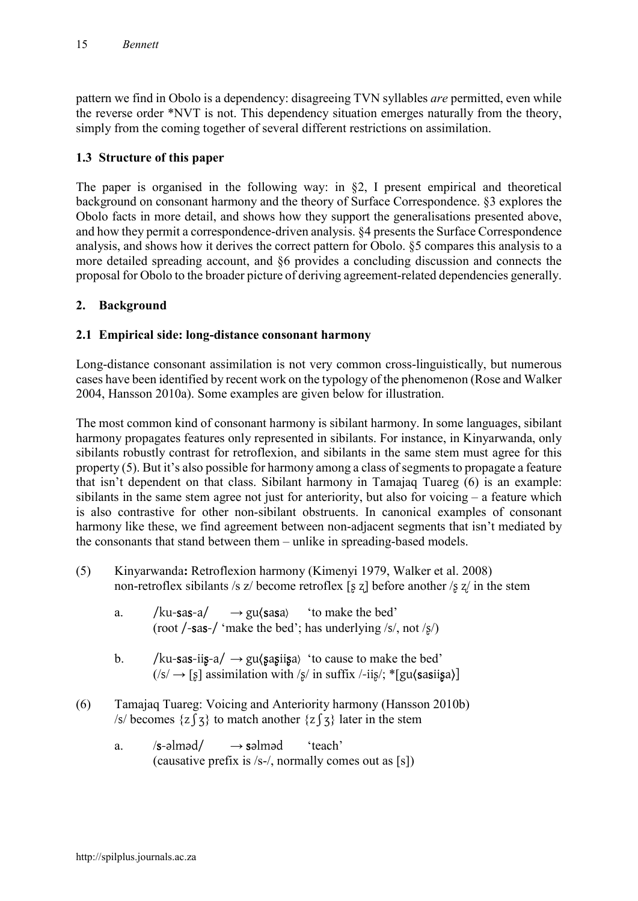pattern we find in Obolo is a dependency: disagreeing TVN syllables *are* permitted, even while the reverse order \*NVT is not. This dependency situation emerges naturally from the theory, simply from the coming together of several different restrictions on assimilation.

# **1.3 Structure of this paper**

The paper is organised in the following way: in §2, I present empirical and theoretical background on consonant harmony and the theory of Surface Correspondence. §3 explores the Obolo facts in more detail, and shows how they support the generalisations presented above, and how they permit a correspondence-driven analysis. §4 presents the Surface Correspondence analysis, and shows how it derives the correct pattern for Obolo. §5 compares this analysis to a more detailed spreading account, and §6 provides a concluding discussion and connects the proposal for Obolo to the broader picture of deriving agreement-related dependencies generally.

## **2. Background**

## **2.1 Empirical side: long-distance consonant harmony**

Long-distance consonant assimilation is not very common cross-linguistically, but numerous cases have been identified by recent work on the typology of the phenomenon (Rose and Walker 2004, Hansson 2010a). Some examples are given below for illustration.

The most common kind of consonant harmony is sibilant harmony. In some languages, sibilant harmony propagates features only represented in sibilants. For instance, in Kinyarwanda, only sibilants robustly contrast for retroflexion, and sibilants in the same stem must agree for this property (5). But it's also possible for harmony among a class of segments to propagate a feature that isn't dependent on that class. Sibilant harmony in Tamajaq Tuareg (6) is an example: sibilants in the same stem agree not just for anteriority, but also for voicing – a feature which is also contrastive for other non-sibilant obstruents. In canonical examples of consonant harmony like these, we find agreement between non-adjacent segments that isn't mediated by the consonants that stand between them – unlike in spreading-based models.

- (5) Kinyarwanda**:** Retroflexion harmony (Kimenyi 1979, Walker et al. 2008) non-retroflex sibilants /s  $z/$  become retroflex [s z] before another /s  $z/$  in the stem
	- a. /ku-sas-a/  $\rightarrow$  gu $\langle$ sasa $\rangle$  'to make the bed' (root /-sas-/ 'make the bed'; has underlying /s/, not /ʂ/)
	- b. /ku-sas-iis-a/  $\rightarrow$  gu $\langle$ sasiisa) 'to cause to make the bed'  $(|s| \rightarrow |s|)$  assimilation with  $|s|$  in suffix  $\frac{1}{|s|}$ ; \*[gu $\langle$ sasiisa)]
- (6) Tamajaq Tuareg: Voicing and Anteriority harmony (Hansson 2010b) /s/ becomes  $\{z \}$  to match another  $\{z \}$  ater in the stem
	- a.  $/s$ -əlməd $/ \rightarrow$ səlməd 'teach' (causative prefix is /s-/, normally comes out as [s])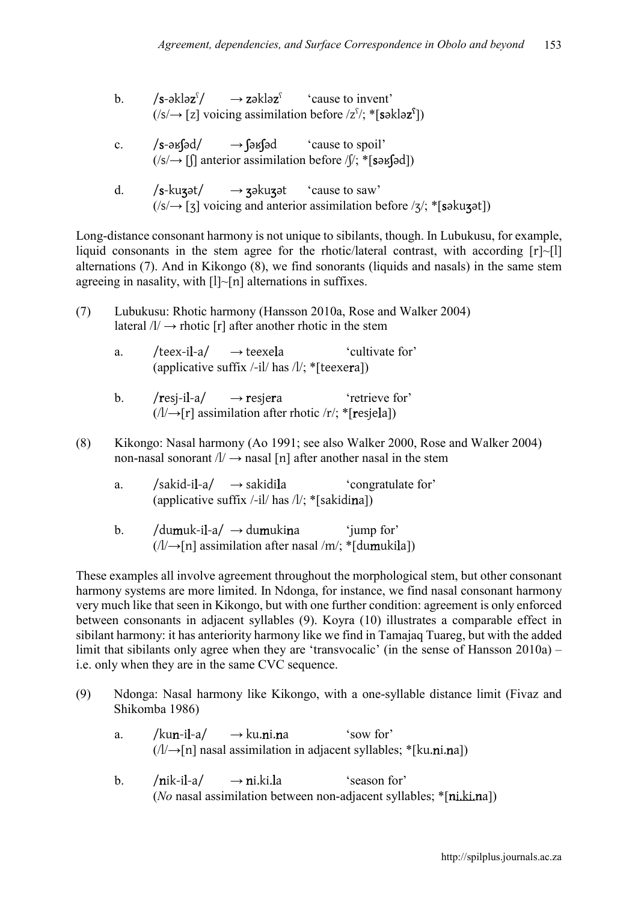- b.  $/s$ -əklə $z^{s}/$  $\rightarrow$  zəkləz<sup> $\hat{c}$ </sup> cause to invent'  $(|s| \rightarrow [z]$  voicing assimilation before  $|z|$ <sup>f</sup>; \*[səkləz<sup>s</sup>])
- c.  $\angle$  /s- $\frac{1}{3}$  /s- $\frac{1}{3}$  /s- $\frac{1}{3}$  /s- $\frac{1}{3}$  /s- $\frac{1}{3}$  /s- $\frac{1}{3}$  /s- $\frac{1}{3}$  $(|s| \rightarrow |f|)$  anterior assimilation before  $|f|$ ; \*[səʁʃəd])
- d.  $/s$ -kuzət/  $\rightarrow$  zəkuzət 'cause to saw'  $(|s| \rightarrow |s|)$  voicing and anterior assimilation before  $|s|$ ; \*[səku $\alpha$ ət])

Long-distance consonant harmony is not unique to sibilants, though. In Lubukusu, for example, liquid consonants in the stem agree for the rhotic/lateral contrast, with according  $[r]~[1]$ alternations (7). And in Kikongo (8), we find sonorants (liquids and nasals) in the same stem agreeing in nasality, with  $[1]~[n]$  alternations in suffixes.

- (7) Lubukusu: Rhotic harmony (Hansson 2010a, Rose and Walker 2004) lateral  $/l \rightarrow$  rhotic [r] after another rhotic in the stem
	- a. /teex-il-a/  $\rightarrow$  teexela 'cultivate for' (applicative suffix  $\ell$ -il/ has  $\ell$ ); \*[teexera])
	- b. /resi-il-a/  $\rightarrow$  resiera 'retrieve for'  $(|/\rightarrow|r|)$  assimilation after rhotic /r/; \*[resjela])
- (8) Kikongo: Nasal harmony (Ao 1991; see also Walker 2000, Rose and Walker 2004) non-nasal sonorant  $\Lambda$   $\rightarrow$  nasal [n] after another nasal in the stem
	- a.  $/sakidi-a/\rightarrow sakidila$  'congratulate for' (applicative suffix  $\frac{1}{1}$  has  $\frac{1}{3}$  \* [sakidina])
	- b. /dumuk-il-a/  $\rightarrow$  dumukina 'jump for'  $(|/\rightarrow \text{[n]}$  assimilation after nasal /m/; \*[dumukila])

These examples all involve agreement throughout the morphological stem, but other consonant harmony systems are more limited. In Ndonga, for instance, we find nasal consonant harmony very much like that seen in Kikongo, but with one further condition: agreement is only enforced between consonants in adjacent syllables (9). Koyra (10) illustrates a comparable effect in sibilant harmony: it has anteriority harmony like we find in Tamajaq Tuareg, but with the added limit that sibilants only agree when they are 'transvocalic' (in the sense of Hansson 2010a) – i.e. only when they are in the same CVC sequence.

- (9) Ndonga: Nasal harmony like Kikongo, with a one-syllable distance limit (Fivaz and Shikomba 1986)
	- a. /kun-il-a/  $\rightarrow$ ku.ni.na 'sow for'  $(1/\rightarrow[n]$  nasal assimilation in adjacent syllables; \*[ku.ni.na])
	- b.  $/nik-i1-a$   $\rightarrow$  ni.ki.la 'season for' (*No* nasal assimilation between non-adjacent syllables; \*[ni.ki.na])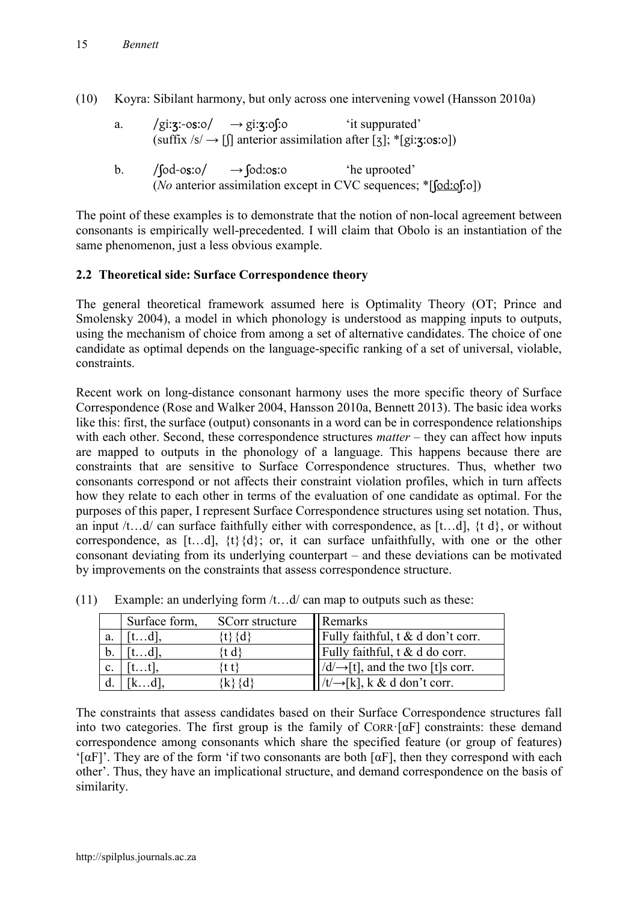- (10) Koyra: Sibilant harmony, but only across one intervening vowel (Hansson 2010a)
	- a.  $\sqrt{g}$ i:**z**:-o**s**:o/  $\rightarrow$  gi:**z**:of:o 'it suppurated' (suffix  $\sqrt{s'} \rightarrow \llbracket$  anterior assimilation after [3]; \*[gi:**3**:0s:0])
	- b.  $/$   $\int$ [od-osːo $/$   $\rightarrow$   $\int$ [od:osːo 'he uprooted' (*No* anterior assimilation except in CVC sequences; \*[ʃodːoʃːo])

The point of these examples is to demonstrate that the notion of non-local agreement between consonants is empirically well-precedented. I will claim that Obolo is an instantiation of the same phenomenon, just a less obvious example.

## **2.2 Theoretical side: Surface Correspondence theory**

The general theoretical framework assumed here is Optimality Theory (OT; Prince and Smolensky 2004), a model in which phonology is understood as mapping inputs to outputs, using the mechanism of choice from among a set of alternative candidates. The choice of one candidate as optimal depends on the language-specific ranking of a set of universal, violable, constraints.

Recent work on long-distance consonant harmony uses the more specific theory of Surface Correspondence (Rose and Walker 2004, Hansson 2010a, Bennett 2013). The basic idea works like this: first, the surface (output) consonants in a word can be in correspondence relationships with each other. Second, these correspondence structures *matter* – they can affect how inputs are mapped to outputs in the phonology of a language. This happens because there are constraints that are sensitive to Surface Correspondence structures. Thus, whether two consonants correspond or not affects their constraint violation profiles, which in turn affects how they relate to each other in terms of the evaluation of one candidate as optimal. For the purposes of this paper, I represent Surface Correspondence structures using set notation. Thus, an input  $/t$ ...d/ can surface faithfully either with correspondence, as  $[t...d]$ ,  $\{t \ d\}$ , or without correspondence, as  $[t...d]$ ,  $\{t\}\{d\}$ ; or, it can surface unfaithfully, with one or the other consonant deviating from its underlying counterpart – and these deviations can be motivated by improvements on the constraints that assess correspondence structure.

|                | Surface form, | SCorr structure | Remarks                                      |
|----------------|---------------|-----------------|----------------------------------------------|
| a.             | t.d .         | tとくd            | Fully faithful, $t \& d don't corr.$         |
| b.             | d             |                 | Fully faithful, $t \& d$ do corr.            |
| $\mathbf{c}$ . |               |                 | $ d/\rightarrow$ [t], and the two [t]s corr. |
|                |               |                 | $\rightarrow$ [k], k & d don't corr.         |

(11) Example: an underlying form  $/t$ ...d/ can map to outputs such as these:

The constraints that assess candidates based on their Surface Correspondence structures fall into two categories. The first group is the family of  $CORR \cdot [\alpha F]$  constraints: these demand correspondence among consonants which share the specified feature (or group of features) ' $[\alpha F]$ '. They are of the form 'if two consonants are both  $[\alpha F]$ , then they correspond with each other'. Thus, they have an implicational structure, and demand correspondence on the basis of similarity.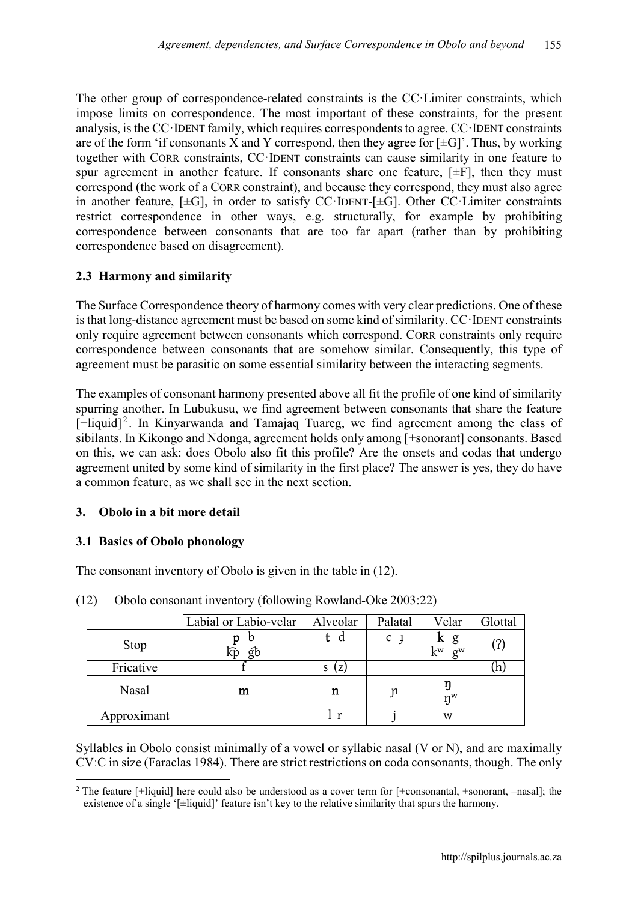The other group of correspondence-related constraints is the CC·Limiter constraints, which impose limits on correspondence. The most important of these constraints, for the present analysis, isthe CC·IDENT family, which requires correspondents to agree. CC·IDENT constraints are of the form 'if consonants X and Y correspond, then they agree for  $[\pm G]$ '. Thus, by working together with CORR constraints, CC·IDENT constraints can cause similarity in one feature to spur agreement in another feature. If consonants share one feature,  $[\pm F]$ , then they must correspond (the work of a CORR constraint), and because they correspond, they must also agree in another feature,  $[\pm G]$ , in order to satisfy CC·IDENT- $[\pm G]$ . Other CC·Limiter constraints restrict correspondence in other ways, e.g. structurally, for example by prohibiting correspondence between consonants that are too far apart (rather than by prohibiting correspondence based on disagreement).

## **2.3 Harmony and similarity**

The Surface Correspondence theory of harmony comes with very clear predictions. One of these is that long-distance agreement must be based on some kind of similarity. CC·IDENT constraints only require agreement between consonants which correspond. CORR constraints only require correspondence between consonants that are somehow similar. Consequently, this type of agreement must be parasitic on some essential similarity between the interacting segments.

The examples of consonant harmony presented above all fit the profile of one kind of similarity spurring another. In Lubukusu, we find agreement between consonants that share the feature  $[-\text{liquid}]^2$ . In Kinyarwanda and Tamajaq Tuareg, we find agreement among the class of sibilants. In Kikongo and Ndonga, agreement holds only among [+sonorant] consonants. Based on this, we can ask: does Obolo also fit this profile? Are the onsets and codas that undergo agreement united by some kind of similarity in the first place? The answer is yes, they do have a common feature, as we shall see in the next section.

## **3. Obolo in a bit more detail**

## **3.1 Basics of Obolo phonology**

The consonant inventory of Obolo is given in the table in (12).

|             | Labial or Labio-velar | Alveolar | Palatal        | Velar                    | Glottal |
|-------------|-----------------------|----------|----------------|--------------------------|---------|
| <b>Stop</b> | р<br>O<br>gb          | d        | $C \downarrow$ | ĸ<br>g<br>$k^w$<br>$g^w$ | (7)     |
| Fricative   |                       | (Z)<br>S |                |                          | (h,     |
| Nasal       | m                     | n        | J              | nW                       |         |
| Approximant |                       |          |                | W                        |         |

(12) Obolo consonant inventory (following Rowland-Oke 2003:22)

Syllables in Obolo consist minimally of a vowel or syllabic nasal (V or N), and are maximally CVːC in size (Faraclas 1984). There are strict restrictions on coda consonants, though. The only

<sup>1</sup> <sup>2</sup> The feature  $[+]$  iquid] here could also be understood as a cover term for  $[+$ consonantal,  $+$ sonorant,  $-$ nasal]; the existence of a single '[±liquid]' feature isn't key to the relative similarity that spurs the harmony.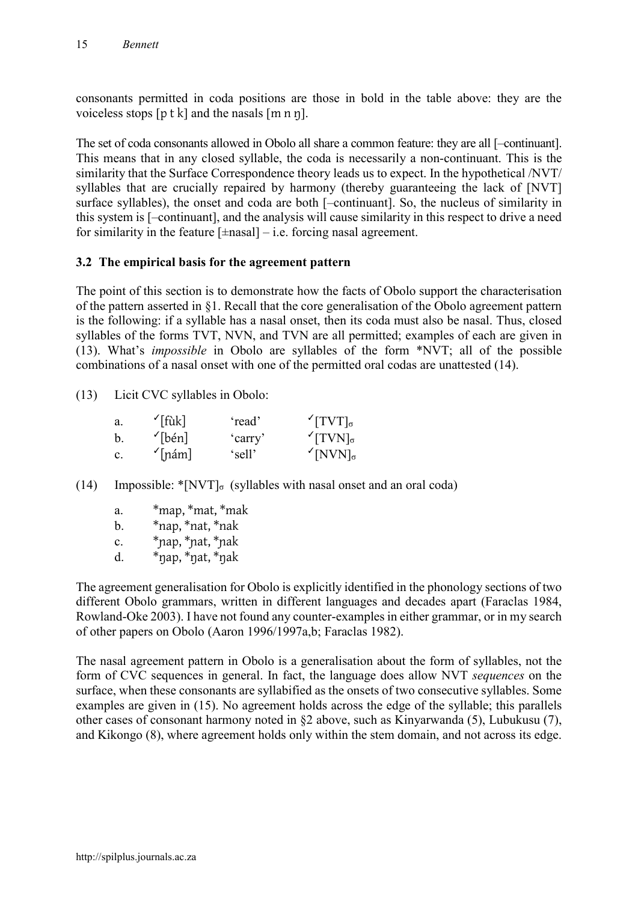consonants permitted in coda positions are those in bold in the table above: they are the voiceless stops  $[p \, t \, k]$  and the nasals  $[m \, n \, n]$ .

The set of coda consonants allowed in Obolo all share a common feature: they are all [–continuant]. This means that in any closed syllable, the coda is necessarily a non-continuant. This is the similarity that the Surface Correspondence theory leads us to expect. In the hypothetical /NVT/ syllables that are crucially repaired by harmony (thereby guaranteeing the lack of [NVT] surface syllables), the onset and coda are both [–continuant]. So, the nucleus of similarity in this system is [–continuant], and the analysis will cause similarity in this respect to drive a need for similarity in the feature  $[\pm$ nasal $]$  – i.e. forcing nasal agreement.

## **3.2 The empirical basis for the agreement pattern**

The point of this section is to demonstrate how the facts of Obolo support the characterisation of the pattern asserted in §1. Recall that the core generalisation of the Obolo agreement pattern is the following: if a syllable has a nasal onset, then its coda must also be nasal. Thus, closed syllables of the forms TVT, NVN, and TVN are all permitted; examples of each are given in (13). What's *impossible* in Obolo are syllables of the form \*NVT; all of the possible combinations of a nasal onset with one of the permitted oral codas are unattested (14).

(13) Licit CVC syllables in Obolo:

| a.             | $\mathcal{I}[\text{fuk}]$ | 'read'  | $TVT]_{\sigma}$              |
|----------------|---------------------------|---------|------------------------------|
| b              | $\mathcal{L}$ [bén]       | 'carry' | $TVN]_{\sigma}$              |
| $\mathbf{c}$ . | $\mathcal{L}$ [nám]       | 'sell'  | $\sqrt{\text{NVN}}_{\sigma}$ |

- (14) Impossible:  $\sqrt[*]{\text{NVT}}_{\sigma}$  (syllables with nasal onset and an oral coda)
	- a. \*map, \*mat, \*mak
	- b.  $*$ nap,  $*$ nat,  $*$ nak
	- c. \*ɲap, \*ɲat, \*ɲak
	- d.  $*$ nap,  $*$ nat,  $*$ nak

The agreement generalisation for Obolo is explicitly identified in the phonology sections of two different Obolo grammars, written in different languages and decades apart (Faraclas 1984, Rowland-Oke 2003). I have not found any counter-examples in either grammar, or in my search of other papers on Obolo (Aaron 1996/1997a,b; Faraclas 1982).

The nasal agreement pattern in Obolo is a generalisation about the form of syllables, not the form of CVC sequences in general. In fact, the language does allow NVT *sequences* on the surface, when these consonants are syllabified as the onsets of two consecutive syllables. Some examples are given in (15). No agreement holds across the edge of the syllable; this parallels other cases of consonant harmony noted in §2 above, such as Kinyarwanda (5), Lubukusu (7), and Kikongo (8), where agreement holds only within the stem domain, and not across its edge.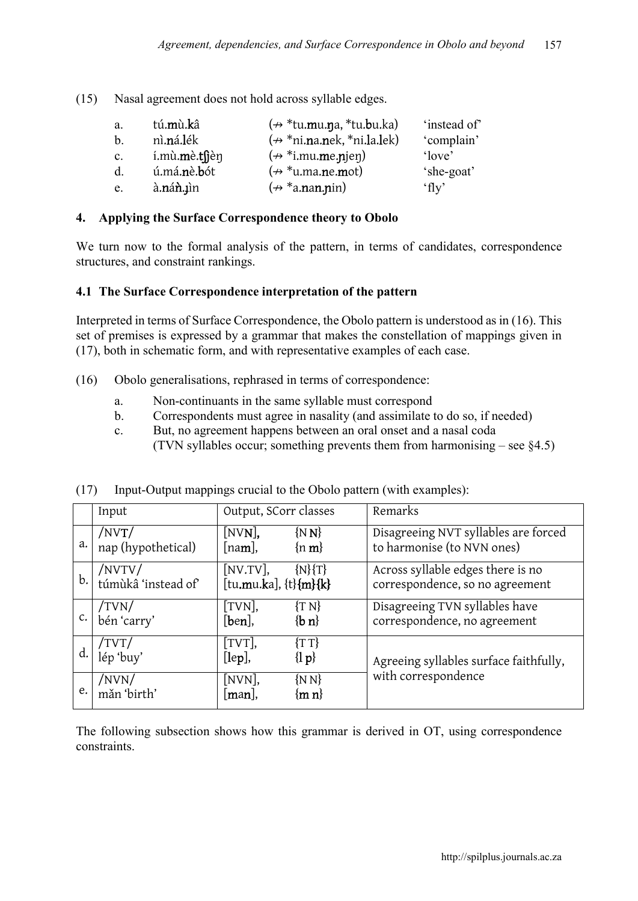(15) Nasal agreement does not hold across syllable edges.

| a.             | tú. <b>m</b> ù. <b>k</b> â  | $(\nleftrightarrow$ *tu.mu.na, *tu.bu.ka)   | 'instead of |
|----------------|-----------------------------|---------------------------------------------|-------------|
| $\mathbf{b}$ . | nì <b>.n</b> á <b>.l</b> ék | $(\nleftrightarrow$ *ni.na.nek, *ni.la.lek) | 'complain'  |
| $\mathbf{c}$ . | í.mù.mè.tsjèn               | $(\nrightarrow$ *i.mu.me.njen)              | 'love'      |
| $d_{\cdot}$    | ú.má.nè.bót                 | $(\nrightarrow$ *u.ma.ne.mot)               | 'she-goat'  |
| e.             | à.nán.µìn                   | $(\nrightarrow *a$ .nan.nin)                | f(v)        |

## **4. Applying the Surface Correspondence theory to Obolo**

We turn now to the formal analysis of the pattern, in terms of candidates, correspondence structures, and constraint rankings.

## **4.1 The Surface Correspondence interpretation of the pattern**

Interpreted in terms of Surface Correspondence, the Obolo pattern is understood as in (16). This set of premises is expressed by a grammar that makes the constellation of mappings given in (17), both in schematic form, and with representative examples of each case.

- (16) Obolo generalisations, rephrased in terms of correspondence:
	- a. Non-continuants in the same syllable must correspond
	- b. Correspondents must agree in nasality (and assimilate to do so, if needed)
	- c. But, no agreement happens between an oral onset and a nasal coda (TVN syllables occur; something prevents them from harmonising – see §4.5)

|    | Input                             | Output, SCorr classes                                               | Remarks                                                              |
|----|-----------------------------------|---------------------------------------------------------------------|----------------------------------------------------------------------|
| a. | $/$ NVT $/$<br>nap (hypothetical) | [NV <b>N</b> ],<br>$\{N\}\$<br>[na <b>m</b> ],<br>$\{n, m\}$        | Disagreeing NVT syllables are forced<br>to harmonise (to NVN ones)   |
| b. | /NVTV/<br>túmùkâ 'instead of'     | [NU.TV]<br>$\{N\}$ {T}<br>[tu.mu.ka], {t}{m}{k}                     | Across syllable edges there is no<br>correspondence, so no agreement |
| c. | /TVN/<br>bén 'carry'              | $[TVN]$ ,<br>$\{T N\}$<br>$\{b n\}$<br>[ben],                       | Disagreeing TVN syllables have<br>correspondence, no agreement       |
| d. | /TVT/<br>lép 'buy'                | $[TVT]$ ,<br>$\{TT\}$<br>$\{ \mathbf{p}\}\$<br>$[\text{lep}]$ ,     | Agreeing syllables surface faithfully,                               |
| e. | $/$ NVN $/$<br>mǎn 'birth'        | $[NVN]$ ,<br>$\{N\}$<br>$\lceil \mathbf{man} \rceil$ ,<br>$\{m n\}$ | with correspondence                                                  |

(17) Input-Output mappings crucial to the Obolo pattern (with examples):

The following subsection shows how this grammar is derived in OT, using correspondence constraints.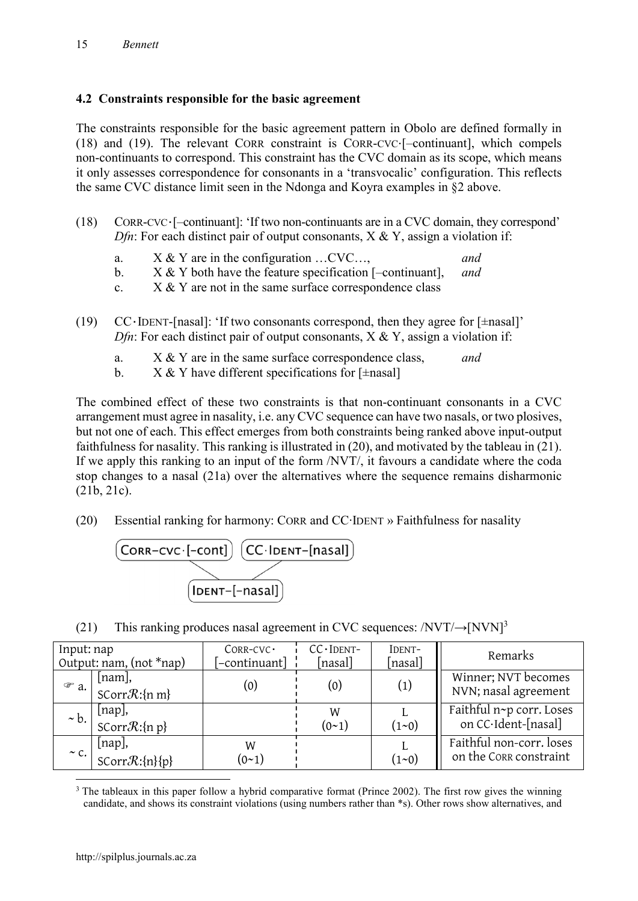## **4.2 Constraints responsible for the basic agreement**

The constraints responsible for the basic agreement pattern in Obolo are defined formally in (18) and (19). The relevant CORR constraint is CORR-CVC⋅[–continuant], which compels non-continuants to correspond. This constraint has the CVC domain as its scope, which means it only assesses correspondence for consonants in a 'transvocalic' configuration. This reflects the same CVC distance limit seen in the Ndonga and Koyra examples in §2 above.

- (18) CORR-CVC⋅[–continuant]: 'If two non-continuants are in a CVC domain, they correspond' *Dfn*: For each distinct pair of output consonants,  $X \& Y$ , assign a violation if:
	- a. X & Y are in the configuration …CVC…, *and*
	- b. X & Y both have the feature specification [–continuant], *and*
	- c.  $X \& Y$  are not in the same surface correspondence class
- (19) CC⋅IDENT-[nasal]: 'If two consonants correspond, then they agree for [±nasal]' *Dfn*: For each distinct pair of output consonants,  $X \& Y$ , assign a violation if:
	- a. X & Y are in the same surface correspondence class, *and*
	- b.  $X \& Y$  have different specifications for [ $\pm$ nasal]

The combined effect of these two constraints is that non-continuant consonants in a CVC arrangement must agree in nasality, i.e. any CVC sequence can have two nasals, or two plosives, but not one of each. This effect emerges from both constraints being ranked above input-output faithfulness for nasality. This ranking is illustrated in (20), and motivated by the tableau in (21). If we apply this ranking to an input of the form /NVT/, it favours a candidate where the coda stop changes to a nasal (21a) over the alternatives where the sequence remains disharmonic (21b, 21c).

(20) Essential ranking for harmony: CORR and CC∙IDENT » Faithfulness for nasality



(21) This ranking produces nasal agreement in CVC sequences:  $/NVT/\rightarrow [NVN]^3$ 

| Input: nap<br>Output: nam, $(not * nap)$ |                                                         | $CORR-CVC$<br>[-continuant] | CC - IDENT-<br>[nasal] | IDENT-<br>[nasal] | Remarks                                            |
|------------------------------------------|---------------------------------------------------------|-----------------------------|------------------------|-------------------|----------------------------------------------------|
| $\mathcal{F}$ a.                         | $\lfloor$ nam $\rfloor$ ,<br>SCorr $\mathcal{R}$ :{n m} | (0)                         | (0)                    | $\left( 1\right)$ | Winner; NVT becomes<br>NVN; nasal agreement        |
| $\sim b$ .                               | [nap],<br>SCorr $\mathcal{R}$ :{n p}                    |                             | W<br>$(0-1)$           | $(1 - 0)$         | Faithful n~p corr. Loses<br>on CC·Ident-[nasal]    |
| $\sim$ C.                                | [nap],<br>$SCorrR:\{n\}\{p\}$                           | W<br>$(0-1)$                |                        | $(1 - 0)$         | Faithful non-corr. loses<br>on the CORR constraint |

1 <sup>3</sup> The tableaux in this paper follow a hybrid comparative format (Prince 2002). The first row gives the winning candidate, and shows its constraint violations (using numbers rather than \*s). Other rows show alternatives, and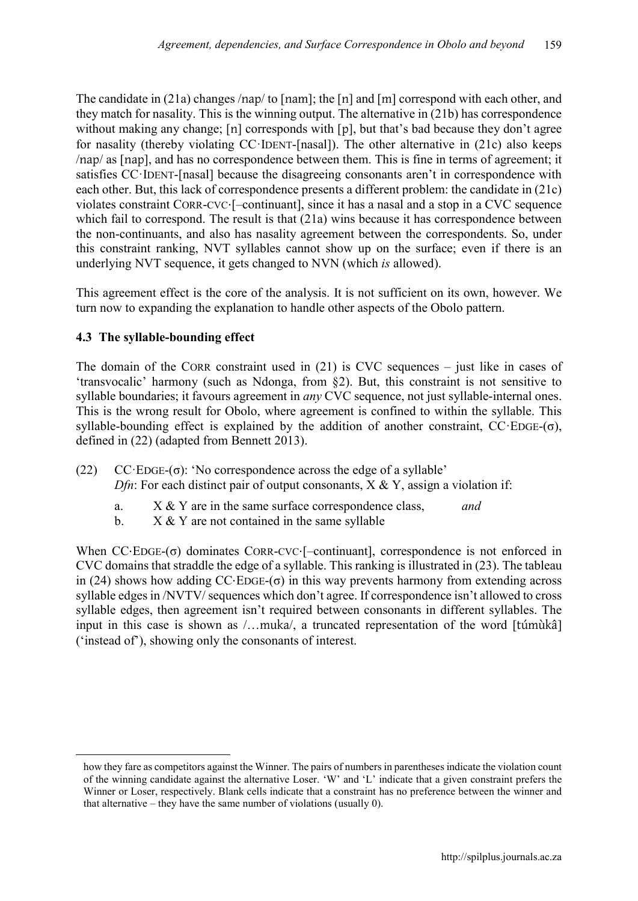The candidate in (21a) changes /nap/ to [nam]; the [n] and [m] correspond with each other, and they match for nasality. This is the winning output. The alternative in (21b) has correspondence without making any change; [n] corresponds with [p], but that's bad because they don't agree for nasality (thereby violating CC·IDENT-[nasal]). The other alternative in (21c) also keeps /nap/ as [nap], and has no correspondence between them. This is fine in terms of agreement; it satisfies CC·IDENT-[nasal] because the disagreeing consonants aren't in correspondence with each other. But, this lack of correspondence presents a different problem: the candidate in (21c) violates constraint CORR-CVC⋅[–continuant], since it has a nasal and a stop in a CVC sequence which fail to correspond. The result is that  $(21a)$  wins because it has correspondence between the non-continuants, and also has nasality agreement between the correspondents. So, under this constraint ranking, NVT syllables cannot show up on the surface; even if there is an underlying NVT sequence, it gets changed to NVN (which *is* allowed).

This agreement effect is the core of the analysis. It is not sufficient on its own, however. We turn now to expanding the explanation to handle other aspects of the Obolo pattern.

## **4.3 The syllable-bounding effect**

**.** 

The domain of the CORR constraint used in  $(21)$  is CVC sequences – just like in cases of 'transvocalic' harmony (such as Ndonga, from §2). But, this constraint is not sensitive to syllable boundaries; it favours agreement in *any* CVC sequence, not just syllable-internal ones. This is the wrong result for Obolo, where agreement is confined to within the syllable. This syllable-bounding effect is explained by the addition of another constraint,  $CC$ ·EDGE-( $\sigma$ ), defined in (22) (adapted from Bennett 2013).

- (22) CC·EDGE-(σ): 'No correspondence across the edge of a syllable' *Dfn*: For each distinct pair of output consonants,  $X \& Y$ , assign a violation if:
	- a. X & Y are in the same surface correspondence class, *and*
	- b.  $X \& Y$  are not contained in the same syllable

When CC⋅EDGE-(σ) dominates CORR-CVC⋅[–continuant], correspondence is not enforced in CVC domains that straddle the edge of a syllable. This ranking is illustrated in (23). The tableau in (24) shows how adding  $CC$ ⋅EDGE- $(\sigma)$  in this way prevents harmony from extending across syllable edges in /NVTV/ sequences which don't agree. If correspondence isn't allowed to cross syllable edges, then agreement isn't required between consonants in different syllables. The input in this case is shown as /…muka/, a truncated representation of the word [túmùkâ] ('instead of'), showing only the consonants of interest.

how they fare as competitors against the Winner. The pairs of numbers in parentheses indicate the violation count of the winning candidate against the alternative Loser. 'W' and 'L' indicate that a given constraint prefers the Winner or Loser, respectively. Blank cells indicate that a constraint has no preference between the winner and that alternative – they have the same number of violations (usually 0).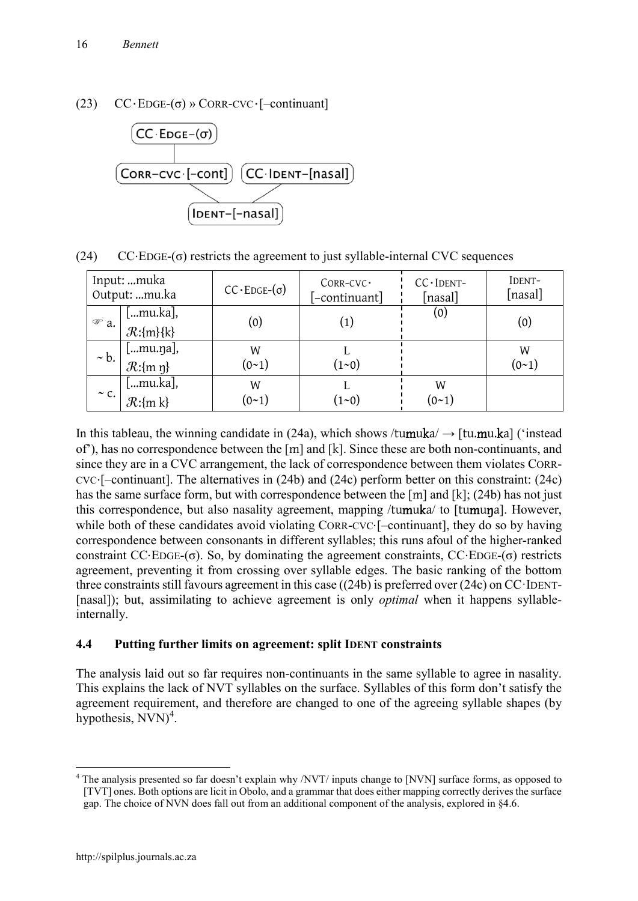## (23)  $CC \cdot EDGE-(\sigma) \rightarrow CORR-CVC \cdot [-continuant]$



(24)  $CC \cdot E \cdot \sigma$ ) restricts the agreement to just syllable-internal CVC sequences

| Input: muka<br>Output: mu.ka |                                                           | $CC \cdot EDGE-(\sigma)$ | $CORR-CVC$<br>[-continuant] | $CC$ IDENT-<br>[nasal] | IDENT-<br>[nasal] |
|------------------------------|-----------------------------------------------------------|--------------------------|-----------------------------|------------------------|-------------------|
| $\mathcal{F}$ a.             | [mu.ka],<br>$\mathcal{R}:\{m\}$ {k}                       | (0)                      | (1)                         | (0)                    | (0)               |
| $\sim b$ .                   | [mu.ŋa],<br>$\mathcal{R}:\{m\}$                           | W<br>$(0-1)$             | $(1 - 0)$                   |                        | W<br>(0~1)        |
| $\sim$ C.                    | $\left[\ldots \text{mu.ka}\right]$<br>$\mathcal{R}:\{m\}$ | W<br>(0~1)               | $(1 - 0)$                   | W<br>$(0-1)$           |                   |

In this tableau, the winning candidate in (24a), which shows /tumuka/  $\rightarrow$  [tu.mu.ka] ('instead of'), has no correspondence between the [m] and [k]. Since these are both non-continuants, and since they are in a CVC arrangement, the lack of correspondence between them violates CORR-CVC⋅[–continuant]. The alternatives in (24b) and (24c) perform better on this constraint: (24c) has the same surface form, but with correspondence between the [m] and [k]; (24b) has not just this correspondence, but also nasality agreement, mapping /tumuka/ to [tumuna]. However, while both of these candidates avoid violating CORR-CVC⋅[–continuant], they do so by having correspondence between consonants in different syllables; this runs afoul of the higher-ranked constraint  $CC·E\text{DGE-(}\sigma)$ . So, by dominating the agreement constraints,  $CC·E\text{DGE-(}\sigma)$  restricts agreement, preventing it from crossing over syllable edges. The basic ranking of the bottom three constraints still favours agreement in this case ((24b) is preferred over (24c) on CC·IDENT- [nasal]); but, assimilating to achieve agreement is only *optimal* when it happens syllableinternally.

## **4.4 Putting further limits on agreement: split IDENT constraints**

The analysis laid out so far requires non-continuants in the same syllable to agree in nasality. This explains the lack of NVT syllables on the surface. Syllables of this form don't satisfy the agreement requirement, and therefore are changed to one of the agreeing syllable shapes (by hypothesis,  $NVN$ <sup>4</sup>.

1

<sup>4</sup> The analysis presented so far doesn't explain why /NVT/ inputs change to [NVN] surface forms, as opposed to [TVT] ones. Both options are licit in Obolo, and a grammar that does either mapping correctly derives the surface gap. The choice of NVN does fall out from an additional component of the analysis, explored in §4.6.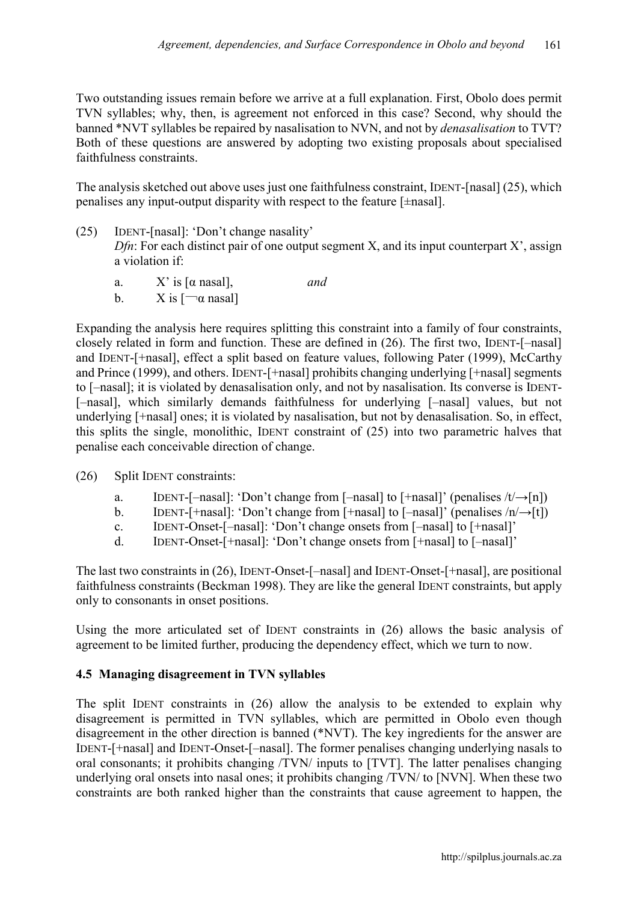Two outstanding issues remain before we arrive at a full explanation. First, Obolo does permit TVN syllables; why, then, is agreement not enforced in this case? Second, why should the banned \*NVT syllables be repaired by nasalisation to NVN, and not by *denasalisation* to TVT? Both of these questions are answered by adopting two existing proposals about specialised faithfulness constraints.

The analysis sketched out above uses just one faithfulness constraint, IDENT-[nasal] (25), which penalises any input-output disparity with respect to the feature [±nasal].

- (25) IDENT-[nasal]: 'Don't change nasality' *Dfn*: For each distinct pair of one output segment X, and its input counterpart  $X'$ , assign a violation if:
	- a.  $X'$  is [ $\alpha$  nasal], *and*
	- b.  $X \text{ is } [\neg \alpha \text{ nasal}]$

Expanding the analysis here requires splitting this constraint into a family of four constraints, closely related in form and function. These are defined in (26). The first two, IDENT-[–nasal] and IDENT-[+nasal], effect a split based on feature values, following Pater (1999), McCarthy and Prince (1999), and others. IDENT-[+nasal] prohibits changing underlying [+nasal] segments to [–nasal]; it is violated by denasalisation only, and not by nasalisation. Its converse is IDENT- [–nasal], which similarly demands faithfulness for underlying [–nasal] values, but not underlying [+nasal] ones; it is violated by nasalisation, but not by denasalisation. So, in effect, this splits the single, monolithic, IDENT constraint of (25) into two parametric halves that penalise each conceivable direction of change.

- (26) Split IDENT constraints:
	- a. IDENT-[–nasal]: 'Don't change from [–nasal] to [+nasal]' (penalises  $/t/\rightarrow [n]$ )
	- b. IDENT-[+nasal]: 'Don't change from [+nasal] to  $[-$ nasal]' (penalises  $/n \rightarrow [t]$ )
	- c. IDENT-Onset-[–nasal]: 'Don't change onsets from [–nasal] to [+nasal]'
	- d. IDENT-Onset-[+nasal]: 'Don't change onsets from [+nasal] to [–nasal]'

The last two constraints in (26), IDENT-Onset-[–nasal] and IDENT-Onset-[+nasal], are positional faithfulness constraints (Beckman 1998). They are like the general IDENT constraints, but apply only to consonants in onset positions.

Using the more articulated set of IDENT constraints in (26) allows the basic analysis of agreement to be limited further, producing the dependency effect, which we turn to now.

## **4.5 Managing disagreement in TVN syllables**

The split IDENT constraints in (26) allow the analysis to be extended to explain why disagreement is permitted in TVN syllables, which are permitted in Obolo even though disagreement in the other direction is banned (\*NVT). The key ingredients for the answer are IDENT-[+nasal] and IDENT-Onset-[–nasal]. The former penalises changing underlying nasals to oral consonants; it prohibits changing /TVN/ inputs to [TVT]. The latter penalises changing underlying oral onsets into nasal ones; it prohibits changing /TVN/ to [NVN]. When these two constraints are both ranked higher than the constraints that cause agreement to happen, the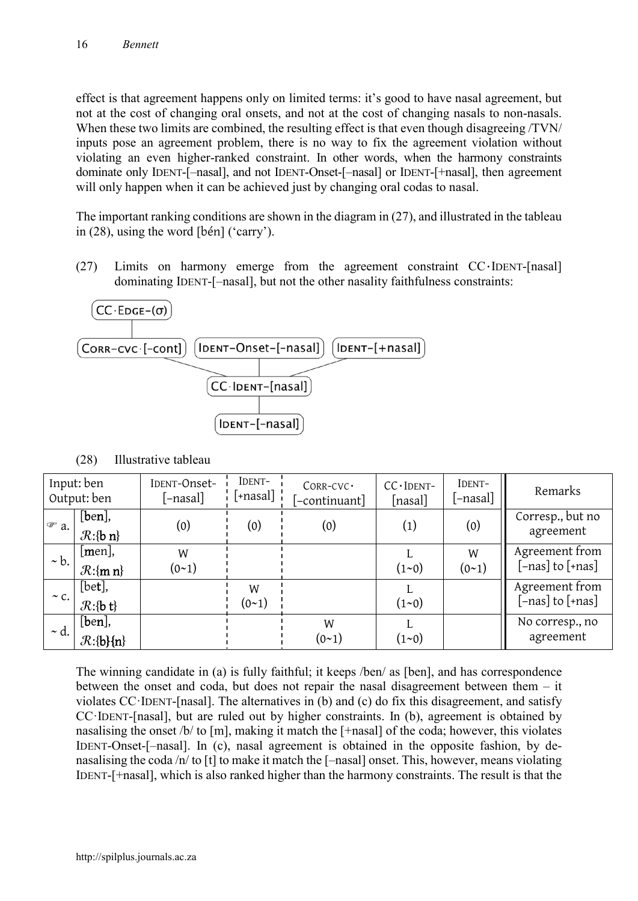effect is that agreement happens only on limited terms: it's good to have nasal agreement, but not at the cost of changing oral onsets, and not at the cost of changing nasals to non-nasals. When these two limits are combined, the resulting effect is that even though disagreeing /TVN/ inputs pose an agreement problem, there is no way to fix the agreement violation without violating an even higher-ranked constraint. In other words, when the harmony constraints dominate only IDENT-[–nasal], and not IDENT-Onset-[–nasal] or IDENT-[+nasal], then agreement will only happen when it can be achieved just by changing oral codas to nasal.

The important ranking conditions are shown in the diagram in (27), and illustrated in the tableau in (28), using the word [bén] ('carry').

(27) Limits on harmony emerge from the agreement constraint CC⋅IDENT-[nasal] dominating IDENT-[–nasal], but not the other nasality faithfulness constraints:



|                  | Input: ben<br>Output: ben                             | IDENT-Onset-<br>[-nasal] | IDENT-<br>[+nasal] ¦   | $CORR-CVC$<br>[-continuant] | $CC$ IDENT-<br>[nasal] | IDENT-<br>[-nasal]     | Remarks                            |
|------------------|-------------------------------------------------------|--------------------------|------------------------|-----------------------------|------------------------|------------------------|------------------------------------|
| $\mathcal{F}$ a. | $[ben]$ ,<br>$\mathcal{R}:\{b\}$ n}                   | (0)                      | (0)                    | (0)                         | (1)                    | (0)                    | Corresp., but no<br>agreement      |
| $\sim b$ .       | men ,<br>$\mathcal{R}:\{m\}$                          | W<br>$(0-1)$             |                        |                             | $(1 - 0)$              | W<br>(0 <sub>1</sub> ) | Agreement from<br>[-nas] to [+nas] |
| $\sim$ C.        | $[bet]$ ,<br>$\mathcal{R}:\{\mathbf{b}\}\mathsf{t}\}$ |                          | W<br>(0 <sub>1</sub> ) |                             | $(1 - 0)$              |                        | Agreement from<br>[-nas] to [+nas] |
| $\sim d.$        | $[ben]$ ,<br>$\mathcal{R}:\{b\}\{n\}$                 |                          |                        | W<br>(0 <sup>1</sup> )      | $(1 - 0)$              |                        | No corresp., no<br>agreement       |

(28) Illustrative tableau

The winning candidate in (a) is fully faithful; it keeps /ben/ as [ben], and has correspondence between the onset and coda, but does not repair the nasal disagreement between them – it violates CC·IDENT-[nasal]. The alternatives in (b) and (c) do fix this disagreement, and satisfy CC·IDENT-[nasal], but are ruled out by higher constraints. In (b), agreement is obtained by nasalising the onset /b/ to [m], making it match the [+nasal] of the coda; however, this violates IDENT-Onset-[–nasal]. In (c), nasal agreement is obtained in the opposite fashion, by denasalising the coda /n/ to [t] to make it match the [–nasal] onset. This, however, means violating IDENT-[+nasal], which is also ranked higher than the harmony constraints. The result is that the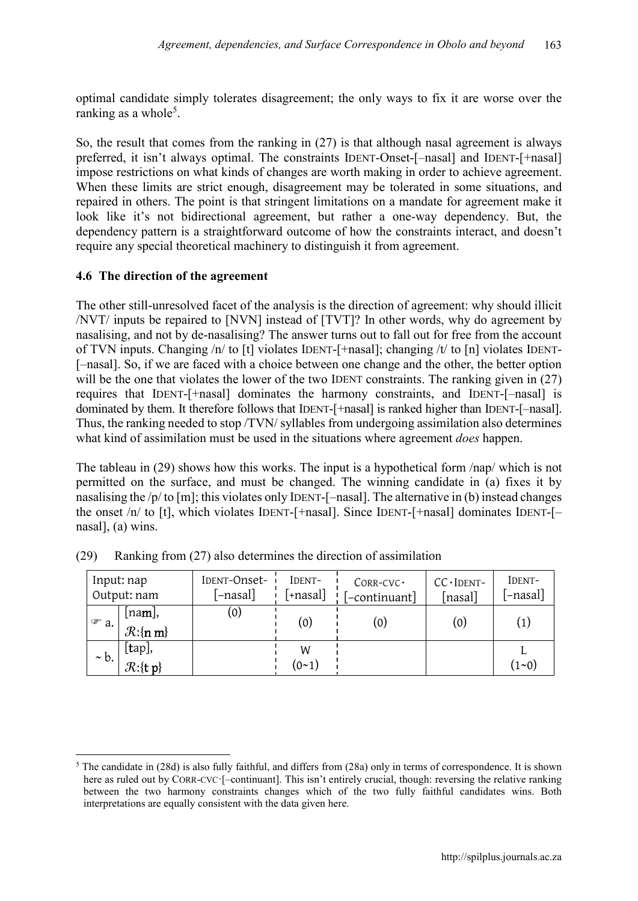optimal candidate simply tolerates disagreement; the only ways to fix it are worse over the ranking as a whole<sup>5</sup>.

So, the result that comes from the ranking in (27) is that although nasal agreement is always preferred, it isn't always optimal. The constraints IDENT-Onset-[–nasal] and IDENT-[+nasal] impose restrictions on what kinds of changes are worth making in order to achieve agreement. When these limits are strict enough, disagreement may be tolerated in some situations, and repaired in others. The point is that stringent limitations on a mandate for agreement make it look like it's not bidirectional agreement, but rather a one-way dependency. But, the dependency pattern is a straightforward outcome of how the constraints interact, and doesn't require any special theoretical machinery to distinguish it from agreement.

## **4.6 The direction of the agreement**

The other still-unresolved facet of the analysis is the direction of agreement: why should illicit /NVT/ inputs be repaired to [NVN] instead of [TVT]? In other words, why do agreement by nasalising, and not by de-nasalising? The answer turns out to fall out for free from the account of TVN inputs. Changing /n/ to [t] violates IDENT-[+nasal]; changing /t/ to [n] violates IDENT- [–nasal]. So, if we are faced with a choice between one change and the other, the better option will be the one that violates the lower of the two IDENT constraints. The ranking given in (27) requires that IDENT-[+nasal] dominates the harmony constraints, and IDENT-[–nasal] is dominated by them. It therefore follows that IDENT-[+nasal] is ranked higher than IDENT-[–nasal]. Thus, the ranking needed to stop /TVN/ syllables from undergoing assimilation also determines what kind of assimilation must be used in the situations where agreement *does* happen.

The tableau in (29) shows how this works. The input is a hypothetical form /nap/ which is not permitted on the surface, and must be changed. The winning candidate in (a) fixes it by nasalising the /p/ to [m]; this violates only IDENT-[–nasal]. The alternative in (b) instead changes the onset /n/ to [t], which violates IDENT-[+nasal]. Since IDENT-[+nasal] dominates IDENT-[– nasal], (a) wins.

|                  | Input: nap<br>Output: nam                | IDENT-Onset-<br>[-nasal] | IDENT-<br>$[+$ nasal] | $CORR-CVC$<br>[-continuant] | CC - IDENT-<br>[nasal] | IDENT-<br>[-nasal] |
|------------------|------------------------------------------|--------------------------|-----------------------|-----------------------------|------------------------|--------------------|
| $\mathcal{F}$ a. | [na <b>m</b> ],<br>$\mathcal{R}:\{n m\}$ | (0)                      | (0)                   | (0)                         | (0)                    | (1)                |
| $\sim$ b.        | [tap],<br>$\mathcal{R}:\{t\}$            |                          | W<br>(0~1)            |                             |                        | $(1 - 0)$          |

(29) Ranking from (27) also determines the direction of assimilation

**<sup>.</sup>**  $5$  The candidate in (28d) is also fully faithful, and differs from (28a) only in terms of correspondence. It is shown here as ruled out by CORR-CVC·[–continuant]. This isn't entirely crucial, though: reversing the relative ranking between the two harmony constraints changes which of the two fully faithful candidates wins. Both interpretations are equally consistent with the data given here.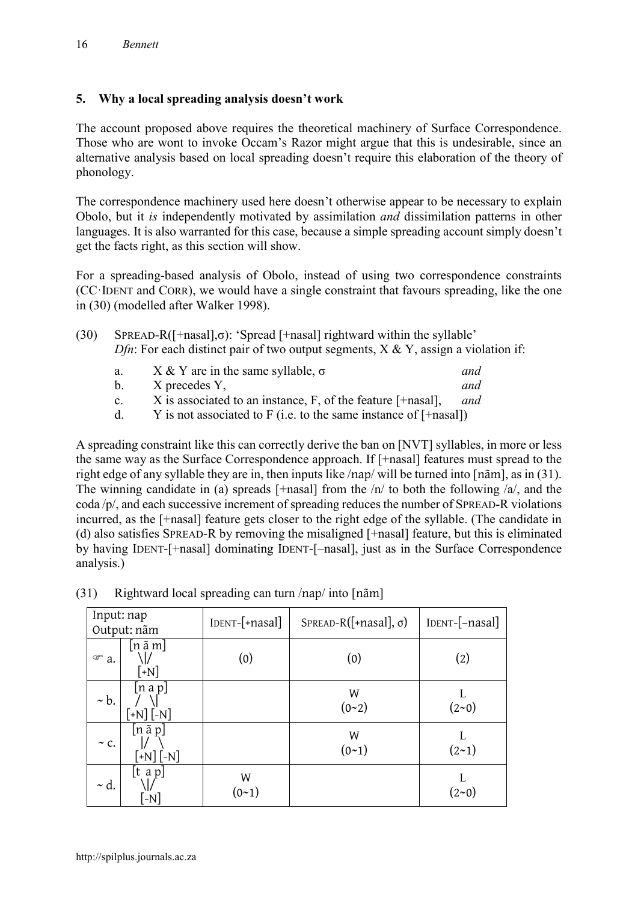## **5. Why a local spreading analysis doesn't work**

The account proposed above requires the theoretical machinery of Surface Correspondence. Those who are wont to invoke Occam's Razor might argue that this is undesirable, since an alternative analysis based on local spreading doesn't require this elaboration of the theory of phonology.

The correspondence machinery used here doesn't otherwise appear to be necessary to explain Obolo, but it *is* independently motivated by assimilation *and* dissimilation patterns in other languages. It is also warranted for this case, because a simple spreading account simply doesn't get the facts right, as this section will show.

For a spreading-based analysis of Obolo, instead of using two correspondence constraints (CC·IDENT and CORR), we would have a single constraint that favours spreading, like the one in (30) (modelled after Walker 1998).

| (30) | $SPREAD-R([+nasal], \sigma)$ : 'Spread [+nasal] rightward within the syllable'                |
|------|-----------------------------------------------------------------------------------------------|
|      | <i>Dfn</i> : For each distinct pair of two output segments, $X \& Y$ , assign a violation if: |

| a.           | X & Y are in the same syllable, $\sigma$                          | and |
|--------------|-------------------------------------------------------------------|-----|
| b.           | X precedes Y,                                                     | and |
| $\mathbf{c}$ | X is associated to an instance, $F$ , of the feature $[+nasal]$ , | and |

d.  $Y$  is not associated to F (i.e. to the same instance of  $[+$ nasal])

A spreading constraint like this can correctly derive the ban on [NVT] syllables, in more or less the same way as the Surface Correspondence approach. If [+nasal] features must spread to the right edge of any syllable they are in, then inputs like /nap/ will be turned into [nãm], as in (31). The winning candidate in (a) spreads [+nasal] from the  $/n/$  to both the following  $/a/$ , and the coda /p/, and each successive increment of spreading reduces the number of SPREAD-R violations incurred, as the [+nasal] feature gets closer to the right edge of the syllable. (The candidate in (d) also satisfies SPREAD-R by removing the misaligned [+nasal] feature, but this is eliminated by having IDENT-[+nasal] dominating IDENT-[–nasal], just as in the Surface Correspondence analysis.)

| Input: nap<br>Output: nãm |                                                  | IDENT-[+nasal]<br>$SPREAD-R([+nasal], \sigma)$ |                | IDENT-[-nasal] |  |
|---------------------------|--------------------------------------------------|------------------------------------------------|----------------|----------------|--|
| $\mathcal{F}$ a.          | $[n \tilde{a} m]$<br>$\lceil +N \rceil$          | (0)                                            | (0)            | (2)            |  |
| $\sim b$ .                | [n a p]<br>$\lceil +N \rceil$ $\lceil -N \rceil$ |                                                | W<br>$(0 - 2)$ | (2~0)          |  |
| $\sim$ C.                 | $[n \tilde{a} p]$<br>$[+N]$ $[-N]$               |                                                | W<br>$(0-1)$   | $(2-1)$        |  |
| $\sim d$ .                | [t a p]<br>$-N$                                  | W<br>(0~1)                                     |                | $(2 \sim 0)$   |  |

| (31) | Rightward local spreading can turn /nap/ into [nam] |  |
|------|-----------------------------------------------------|--|
|      |                                                     |  |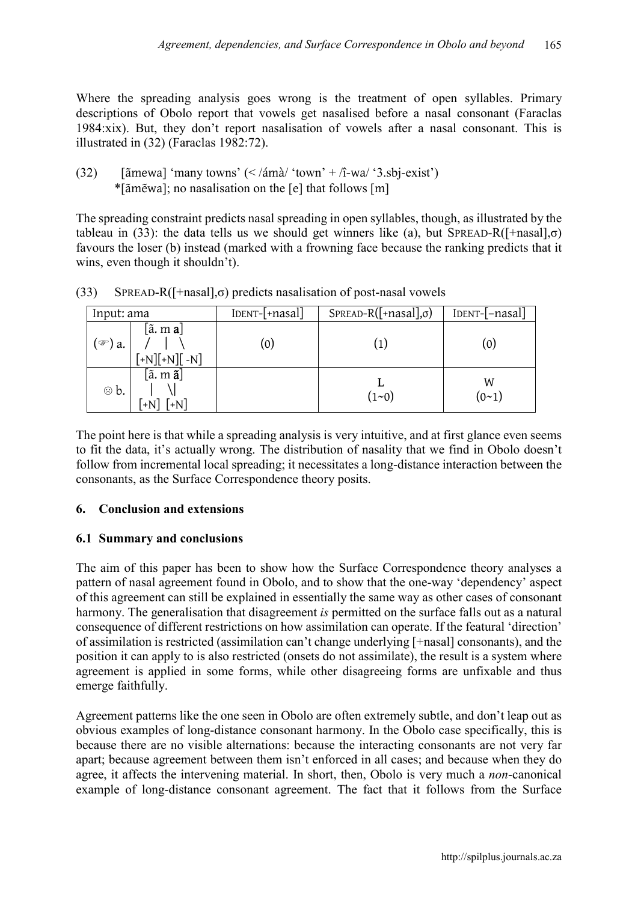Where the spreading analysis goes wrong is the treatment of open syllables. Primary descriptions of Obolo report that vowels get nasalised before a nasal consonant (Faraclas 1984:xix). But, they don't report nasalisation of vowels after a nasal consonant. This is illustrated in (32) (Faraclas 1982:72).

(32) [ $\tilde{a}$ mewa] 'many towns' (< / $\tilde{a}$ mà/ 'town' + /î-wa/ '3.sbj-exist') \*[ãmẽwa]; no nasalisation on the [e] that follows [m]

The spreading constraint predicts nasal spreading in open syllables, though, as illustrated by the tableau in (33): the data tells us we should get winners like (a), but SPREAD-R( $[\text{+nasal}]$ , $\sigma$ ) favours the loser (b) instead (marked with a frowning face because the ranking predicts that it wins, even though it shouldn't).

| Input: ama        |                                                               | [DENT-[+nasal]    | $SPREAD-R([+nasal], \sigma)$ | $\text{IDENT}$ - $\text{-}$ nasal |
|-------------------|---------------------------------------------------------------|-------------------|------------------------------|-----------------------------------|
| ั‴) a.            | $[\tilde{a}$ . m <b>a</b> ]<br>$[+N][+N][-N]$                 | $\left( 0\right)$ |                              | (0)                               |
| $\circledcirc$ b. | $[\tilde{\mathrm{a}},\mathrm{m}\,\tilde{\mathrm{a}}]$<br>$+N$ |                   | $(1 - 0)$                    | W<br>(0 <sub>1</sub> )            |

(33) SPREAD-R( $[\text{+nasal}], \sigma$ ) predicts nasalisation of post-nasal vowels

The point here is that while a spreading analysis is very intuitive, and at first glance even seems to fit the data, it's actually wrong. The distribution of nasality that we find in Obolo doesn't follow from incremental local spreading; it necessitates a long-distance interaction between the consonants, as the Surface Correspondence theory posits.

## **6. Conclusion and extensions**

## **6.1 Summary and conclusions**

The aim of this paper has been to show how the Surface Correspondence theory analyses a pattern of nasal agreement found in Obolo, and to show that the one-way 'dependency' aspect of this agreement can still be explained in essentially the same way as other cases of consonant harmony. The generalisation that disagreement *is* permitted on the surface falls out as a natural consequence of different restrictions on how assimilation can operate. If the featural 'direction' of assimilation is restricted (assimilation can't change underlying [+nasal] consonants), and the position it can apply to is also restricted (onsets do not assimilate), the result is a system where agreement is applied in some forms, while other disagreeing forms are unfixable and thus emerge faithfully.

Agreement patterns like the one seen in Obolo are often extremely subtle, and don't leap out as obvious examples of long-distance consonant harmony. In the Obolo case specifically, this is because there are no visible alternations: because the interacting consonants are not very far apart; because agreement between them isn't enforced in all cases; and because when they do agree, it affects the intervening material. In short, then, Obolo is very much a *non*-canonical example of long-distance consonant agreement. The fact that it follows from the Surface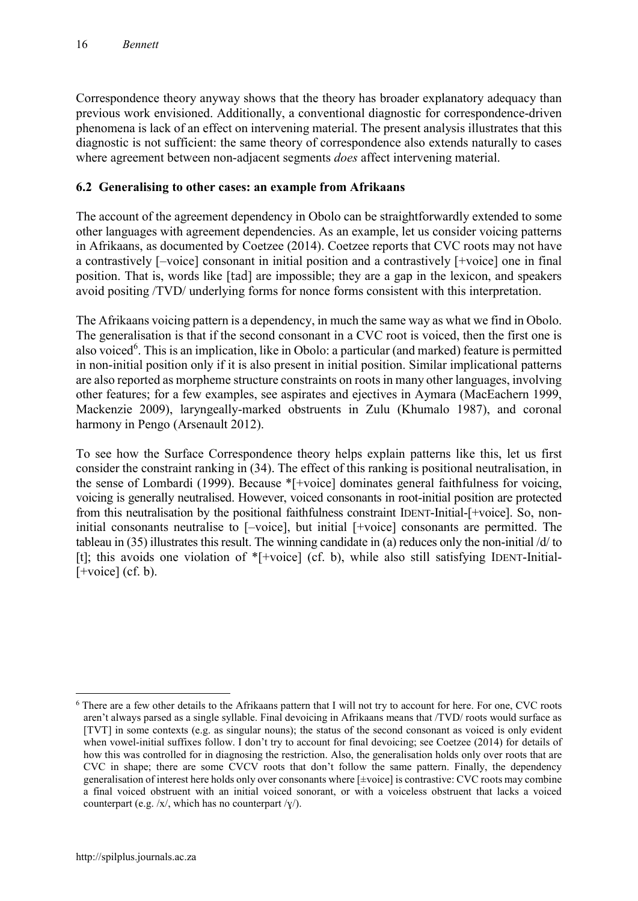Correspondence theory anyway shows that the theory has broader explanatory adequacy than previous work envisioned. Additionally, a conventional diagnostic for correspondence-driven phenomena is lack of an effect on intervening material. The present analysis illustrates that this diagnostic is not sufficient: the same theory of correspondence also extends naturally to cases where agreement between non-adjacent segments *does* affect intervening material.

## **6.2 Generalising to other cases: an example from Afrikaans**

The account of the agreement dependency in Obolo can be straightforwardly extended to some other languages with agreement dependencies. As an example, let us consider voicing patterns in Afrikaans, as documented by Coetzee (2014). Coetzee reports that CVC roots may not have a contrastively [–voice] consonant in initial position and a contrastively [+voice] one in final position. That is, words like [tad] are impossible; they are a gap in the lexicon, and speakers avoid positing /TVD/ underlying forms for nonce forms consistent with this interpretation.

The Afrikaans voicing pattern is a dependency, in much the same way as what we find in Obolo. The generalisation is that if the second consonant in a CVC root is voiced, then the first one is also voiced<sup>6</sup>. This is an implication, like in Obolo: a particular (and marked) feature is permitted in non-initial position only if it is also present in initial position. Similar implicational patterns are also reported as morpheme structure constraints on roots in many other languages, involving other features; for a few examples, see aspirates and ejectives in Aymara (MacEachern 1999, Mackenzie 2009), laryngeally-marked obstruents in Zulu (Khumalo 1987), and coronal harmony in Pengo (Arsenault 2012).

To see how the Surface Correspondence theory helps explain patterns like this, let us first consider the constraint ranking in (34). The effect of this ranking is positional neutralisation, in the sense of Lombardi (1999). Because \*[+voice] dominates general faithfulness for voicing, voicing is generally neutralised. However, voiced consonants in root-initial position are protected from this neutralisation by the positional faithfulness constraint IDENT-Initial-[+voice]. So, noninitial consonants neutralise to [–voice], but initial [+voice] consonants are permitted. The tableau in (35) illustrates this result. The winning candidate in (a) reduces only the non-initial /d/ to [t]; this avoids one violation of \*[+voice] (cf. b), while also still satisfying IDENT-Initial-  $[+voice] (cf. b).$ 

1

<sup>6</sup> There are a few other details to the Afrikaans pattern that I will not try to account for here. For one, CVC roots aren't always parsed as a single syllable. Final devoicing in Afrikaans means that /TVD/ roots would surface as [TVT] in some contexts (e.g. as singular nouns); the status of the second consonant as voiced is only evident when vowel-initial suffixes follow. I don't try to account for final devoicing; see Coetzee (2014) for details of how this was controlled for in diagnosing the restriction. Also, the generalisation holds only over roots that are CVC in shape; there are some CVCV roots that don't follow the same pattern. Finally, the dependency generalisation of interest here holds only over consonants where [±voice] is contrastive: CVC roots may combine a final voiced obstruent with an initial voiced sonorant, or with a voiceless obstruent that lacks a voiced counterpart (e.g.  $/x/$ , which has no counterpart  $\frac{x}{y}$ ).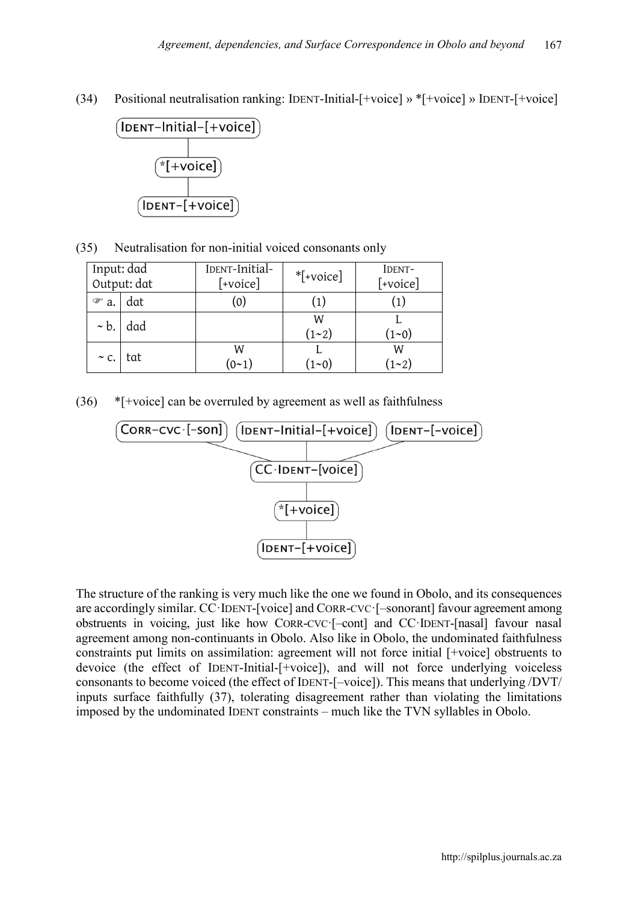(34) Positional neutralisation ranking: IDENT-Initial-[+voice] » \*[+voice] » IDENT-[+voice]



(35) Neutralisation for non-initial voiced consonants only

| Input: dad<br>Output: dat |     | IDENT-Initial-<br>$*$ [+voice]<br>$[+voice]$ |                | IDENT-<br>[+voice] |  |
|---------------------------|-----|----------------------------------------------|----------------|--------------------|--|
| ☞<br>a.                   | dat | (0)                                          |                |                    |  |
| $\sim b$ .                | dad |                                              | W<br>(1~2)     | $(1 - 0)$          |  |
| $\sim$ C.                 | tat | W<br>(0 <sub>1</sub> )                       | $(1\text{-}0)$ | W<br>(1~2)         |  |

 $(36)$  \*[+voice] can be overruled by agreement as well as faithfulness



The structure of the ranking is very much like the one we found in Obolo, and its consequences are accordingly similar. CC·IDENT-[voice] and CORR-CVC·[–sonorant] favour agreement among obstruents in voicing, just like how CORR-CVC·[–cont] and CC·IDENT-[nasal] favour nasal agreement among non-continuants in Obolo. Also like in Obolo, the undominated faithfulness constraints put limits on assimilation: agreement will not force initial [+voice] obstruents to devoice (the effect of IDENT-Initial-[+voice]), and will not force underlying voiceless consonants to become voiced (the effect of IDENT-[–voice]). This means that underlying /DVT/ inputs surface faithfully (37), tolerating disagreement rather than violating the limitations imposed by the undominated IDENT constraints – much like the TVN syllables in Obolo.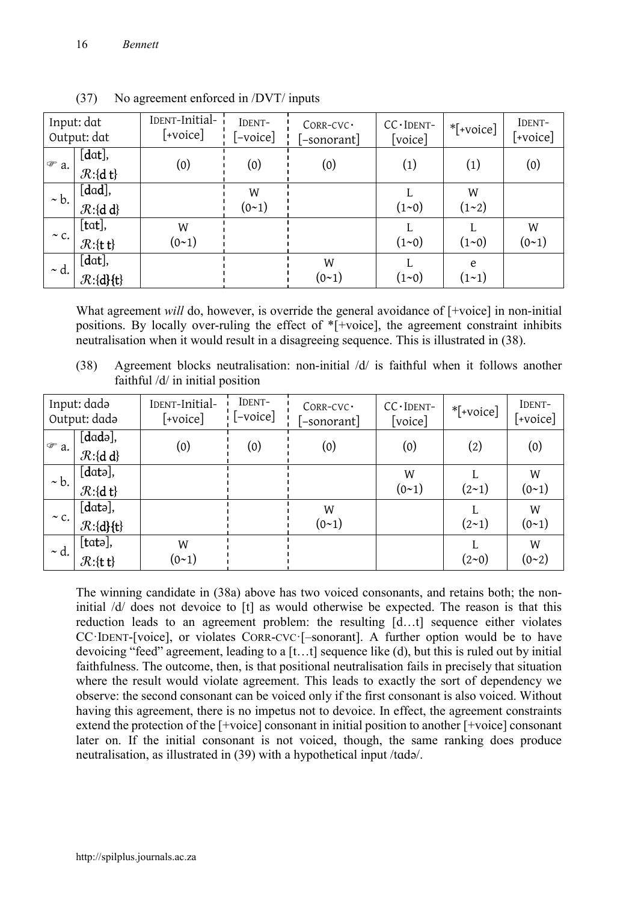|                  | Input: dat<br>Output: dat        | IDENT-Initial-<br>$[\lnot\text{voice}]$ | IDENT-<br>$-voice$ | CORR-CVC ·<br>[-sonorant] | $CC$ IDENT-<br>[voice] | $*$ [+voice] | IDENT-<br>$\lceil$ +voice] |
|------------------|----------------------------------|-----------------------------------------|--------------------|---------------------------|------------------------|--------------|----------------------------|
| $\mathcal{F}$ a. | [dat],<br>$\mathcal{R}:\{d\;t\}$ | (0)                                     | (0)                | (0)                       | (1)                    | (1)          | (0)                        |
| $\sim b$ .       | [dad],                           |                                         | W                  |                           |                        | W            |                            |
|                  | $\mathcal{R}:\{d\ d\}$           |                                         | $(0-1)$            |                           | $(1 - 0)$              | (1~2)        |                            |
|                  | $[\text{tat}]$ ,                 | W                                       |                    |                           |                        |              | W                          |
| $\sim$ C.        | $\mathcal{R}:\{t\}$              | $(0-1)$                                 |                    |                           | $(1 - 0)$              | $(1 - 0)$    | $(0-1)$                    |
|                  | $[dat]$ ,                        |                                         |                    | W                         |                        | e            |                            |
| $\sim d.$        | $\mathcal{R}:\{d\}\{t\}$         |                                         |                    | $(0-1)$                   | $(1 - 0)$              | $(1 - 1)$    |                            |

(37) No agreement enforced in /DVT/ inputs

What agreement *will* do, however, is override the general avoidance of [+voice] in non-initial positions. By locally over-ruling the effect of \*[+voice], the agreement constraint inhibits neutralisation when it would result in a disagreeing sequence. This is illustrated in (38).

(38) Agreement blocks neutralisation: non-initial /d/ is faithful when it follows another faithful /d/ in initial position

| Input: dadə<br>Output: dada |                                                 | IDENT-Initial-<br>$[+voice]$ | IDENT-<br>$\lbrack -\text{voice} \rbrack$ | CORR-CVC ·<br>[-sonorant] | $CC$ IDENT-<br>[voice] | *[+voice] | IDENT-<br>[+voice] |
|-----------------------------|-------------------------------------------------|------------------------------|-------------------------------------------|---------------------------|------------------------|-----------|--------------------|
| $\mathcal{P}$ a.            | $\overline{[d}$ adə],<br>$\mathcal{R}:\{d\ d\}$ | (0)                          | (0)                                       | (0)                       | (0)                    | (2)       | (0)                |
| $\sim b$ .                  | $[data]$ ,                                      |                              |                                           |                           | W                      |           | W                  |
|                             | $\mathcal{R}:\{d\;t\}$                          |                              |                                           |                           | $(0-1)$                | $(2-1)$   | $(0-1)$            |
|                             | $[data]$ ,                                      |                              |                                           | W                         |                        |           | W                  |
| $\sim$ C.                   | $\mathcal{R}:\{d\}\{t\}$                        |                              |                                           | (0~1)                     |                        | $(2-1)$   | (0 <sub>1</sub> )  |
| $\sim d.$                   | $[{\text{tata}}],$                              | W                            |                                           |                           |                        |           | W                  |
|                             | $\mathcal{R}:\{\mathbf{t}\}$                    | $(0-1)$                      |                                           |                           |                        | (2~0)     | (0~2)              |

The winning candidate in (38a) above has two voiced consonants, and retains both; the noninitial /d/ does not devoice to [t] as would otherwise be expected. The reason is that this reduction leads to an agreement problem: the resulting [d…t] sequence either violates CC·IDENT-[voice], or violates CORR-CVC·[–sonorant]. A further option would be to have devoicing "feed" agreement, leading to a [t…t] sequence like (d), but this is ruled out by initial faithfulness. The outcome, then, is that positional neutralisation fails in precisely that situation where the result would violate agreement. This leads to exactly the sort of dependency we observe: the second consonant can be voiced only if the first consonant is also voiced. Without having this agreement, there is no impetus not to devoice. In effect, the agreement constraints extend the protection of the [+voice] consonant in initial position to another [+voice] consonant later on. If the initial consonant is not voiced, though, the same ranking does produce neutralisation, as illustrated in (39) with a hypothetical input /tɑdə/.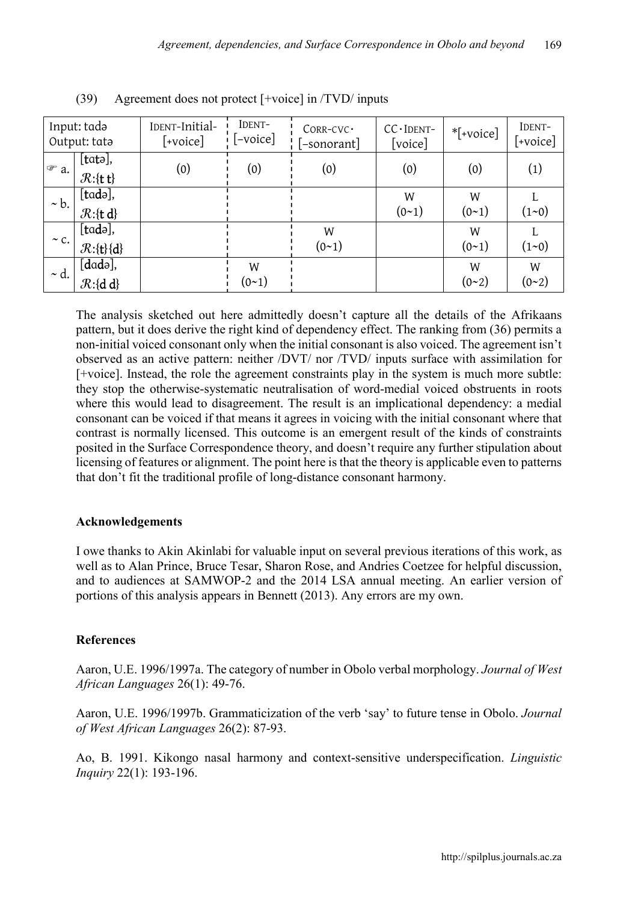| Input: tadə<br>Output: tata |                                                        | IDENT-Initial-<br>$[+voice]$ | IDENT-<br>$[-\text{voice}]$ | CORR-CVC ·<br>[-sonorant] | CC - IDENT-<br>[voice] | $*$ [+voice] | IDENT-<br>$[+voice]$ |
|-----------------------------|--------------------------------------------------------|------------------------------|-----------------------------|---------------------------|------------------------|--------------|----------------------|
| $\mathcal{F}$ a.            | $[{\text{tata}}],$<br>$\mathcal{R}:\{\mathbf{t}\}$     | (0)                          | (0)                         | (0)                       | (0)                    | (0)          | (1)                  |
| $\sim b$ .                  | [tadə],<br>$\mathcal{R}:\{t\}$                         |                              |                             |                           | W<br>(0 <sub>1</sub> ) | W<br>$(0-1)$ | $(1 - 0)$            |
| $\sim$ C.                   | [tadə],<br>$\mathcal{R}:\{t\}\{d\}$                    |                              |                             | W<br>$(0-1)$              |                        | W<br>$(0-1)$ | $(1 - 0)$            |
| $\sim d.$                   | [ <i>dad</i> <sub>0</sub> ],<br>$\mathcal{R}:\{d\ d\}$ |                              | W<br>(0~1)                  |                           |                        | W<br>(0~2)   | W<br>(0~2)           |

(39) Agreement does not protect [+voice] in /TVD/ inputs

The analysis sketched out here admittedly doesn't capture all the details of the Afrikaans pattern, but it does derive the right kind of dependency effect. The ranking from (36) permits a non-initial voiced consonant only when the initial consonant is also voiced. The agreement isn't observed as an active pattern: neither /DVT/ nor /TVD/ inputs surface with assimilation for [+voice]. Instead, the role the agreement constraints play in the system is much more subtle: they stop the otherwise-systematic neutralisation of word-medial voiced obstruents in roots where this would lead to disagreement. The result is an implicational dependency: a medial consonant can be voiced if that means it agrees in voicing with the initial consonant where that contrast is normally licensed. This outcome is an emergent result of the kinds of constraints posited in the Surface Correspondence theory, and doesn't require any further stipulation about licensing of features or alignment. The point here is that the theory is applicable even to patterns that don't fit the traditional profile of long-distance consonant harmony.

## **Acknowledgements**

I owe thanks to Akin Akinlabi for valuable input on several previous iterations of this work, as well as to Alan Prince, Bruce Tesar, Sharon Rose, and Andries Coetzee for helpful discussion, and to audiences at SAMWOP-2 and the 2014 LSA annual meeting. An earlier version of portions of this analysis appears in Bennett (2013). Any errors are my own.

#### **References**

Aaron, U.E. 1996/1997a. The category of number in Obolo verbal morphology. *Journal of West African Languages* 26(1): 49-76.

Aaron, U.E. 1996/1997b. Grammaticization of the verb 'say' to future tense in Obolo. *Journal of West African Languages* 26(2): 87-93.

Ao, B. 1991. Kikongo nasal harmony and context-sensitive underspecification. *Linguistic Inquiry* 22(1): 193-196.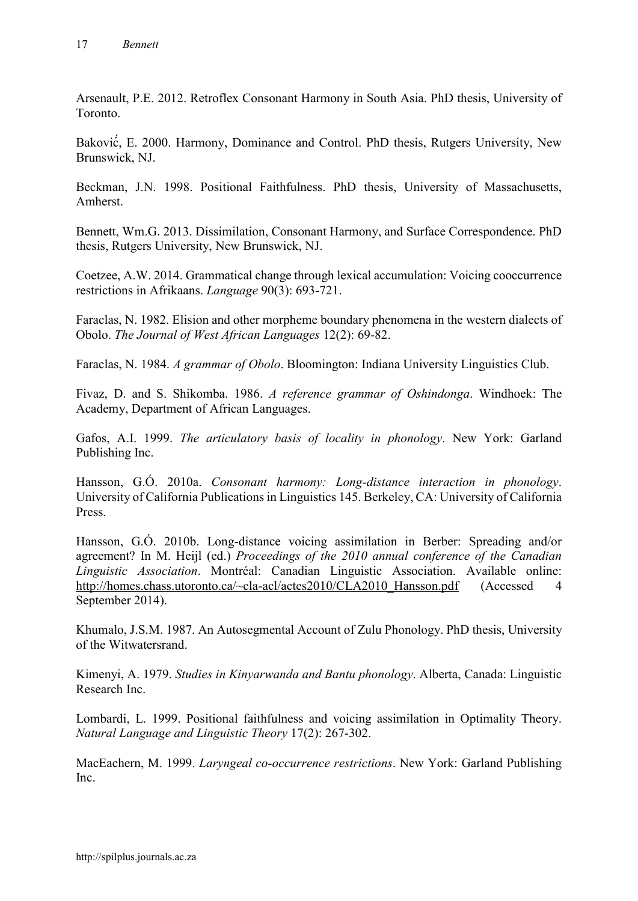Arsenault, P.E. 2012. Retroflex Consonant Harmony in South Asia. PhD thesis, University of Toronto.

Baković , E. 2000. Harmony, Dominance and Control. PhD thesis, Rutgers University, New ́ Brunswick, NJ.

Beckman, J.N. 1998. Positional Faithfulness. PhD thesis, University of Massachusetts, Amherst.

Bennett, Wm.G. 2013. Dissimilation, Consonant Harmony, and Surface Correspondence. PhD thesis, Rutgers University, New Brunswick, NJ.

Coetzee, A.W. 2014. [Grammatical change through lexical accumulation: Voicing cooccurrence](http://muse.jhu.edu/journals/language/v090/90.3.coetzee.html)  [restrictions in Afrikaans.](http://muse.jhu.edu/journals/language/v090/90.3.coetzee.html) *Language* 90(3): 693-721.

Faraclas, N. 1982. Elision and other morpheme boundary phenomena in the western dialects of Obolo. *The Journal of West African Languages* 12(2): 69-82.

Faraclas, N. 1984. *A grammar of Obolo*. Bloomington: Indiana University Linguistics Club.

Fivaz, D. and S. Shikomba. 1986. *A reference grammar of Oshindonga*. Windhoek: The Academy, Department of African Languages.

Gafos, A.I. 1999. *The articulatory basis of locality in phonology*. New York: Garland Publishing Inc.

Hansson, G.Ó. 2010a. *Consonant harmony: Long-distance interaction in phonology*. University of California Publications in Linguistics 145. Berkeley, CA: University of California Press.

Hansson, G.Ó. 2010b. Long-distance voicing assimilation in Berber: Spreading and/or agreement? In M. Heijl (ed.) *Proceedings of the 2010 annual conference of the Canadian Linguistic Association*. Montréal: Canadian Linguistic Association. Available online: [http://homes.chass.utoronto.ca/~cla-acl/actes2010/CLA2010\\_Hansson.pdf](http://homes.chass.utoronto.ca/~cla-acl/actes2010/CLA2010_Hansson.pdf) (Accessed 4 September 2014).

Khumalo, J.S.M. 1987. An Autosegmental Account of Zulu Phonology. PhD thesis, University of the Witwatersrand.

Kimenyi, A. 1979. *Studies in Kinyarwanda and Bantu phonology*. Alberta, Canada: Linguistic Research Inc.

Lombardi, L. 1999. Positional faithfulness and voicing assimilation in Optimality Theory. *Natural Language and Linguistic Theory* 17(2): 267-302.

MacEachern, M. 1999. *Laryngeal co-occurrence restrictions*. New York: Garland Publishing Inc.